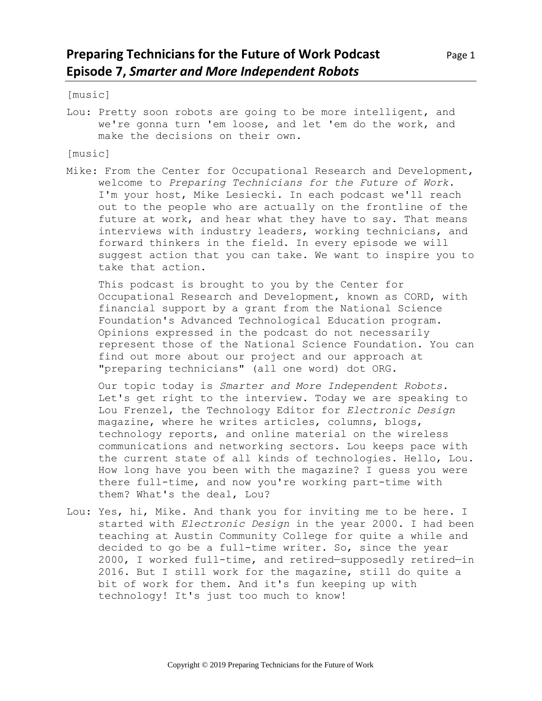[music]

Lou: Pretty soon robots are going to be more intelligent, and we're gonna turn 'em loose, and let 'em do the work, and make the decisions on their own.

[music]

Mike: From the Center for Occupational Research and Development, welcome to *Preparing Technicians for the Future of Work*. I'm your host, Mike Lesiecki. In each podcast we'll reach out to the people who are actually on the frontline of the future at work, and hear what they have to say. That means interviews with industry leaders, working technicians, and forward thinkers in the field. In every episode we will suggest action that you can take. We want to inspire you to take that action.

This podcast is brought to you by the Center for Occupational Research and Development, known as CORD, with financial support by a grant from the National Science Foundation's Advanced Technological Education program. Opinions expressed in the podcast do not necessarily represent those of the National Science Foundation. You can find out more about our project and our approach at "preparing technicians" (all one word) dot ORG.

Our topic today is *Smarter and More Independent Robots*. Let's get right to the interview. Today we are speaking to Lou Frenzel, the Technology Editor for *Electronic Design* magazine, where he writes articles, columns, blogs, technology reports, and online material on the wireless communications and networking sectors. Lou keeps pace with the current state of all kinds of technologies. Hello, Lou. How long have you been with the magazine? I guess you were there full-time, and now you're working part-time with them? What's the deal, Lou?

Lou: Yes, hi, Mike. And thank you for inviting me to be here. I started with *Electronic Design* in the year 2000. I had been teaching at Austin Community College for quite a while and decided to go be a full-time writer. So, since the year 2000, I worked full-time, and retired—supposedly retired—in 2016. But I still work for the magazine, still do quite a bit of work for them. And it's fun keeping up with technology! It's just too much to know!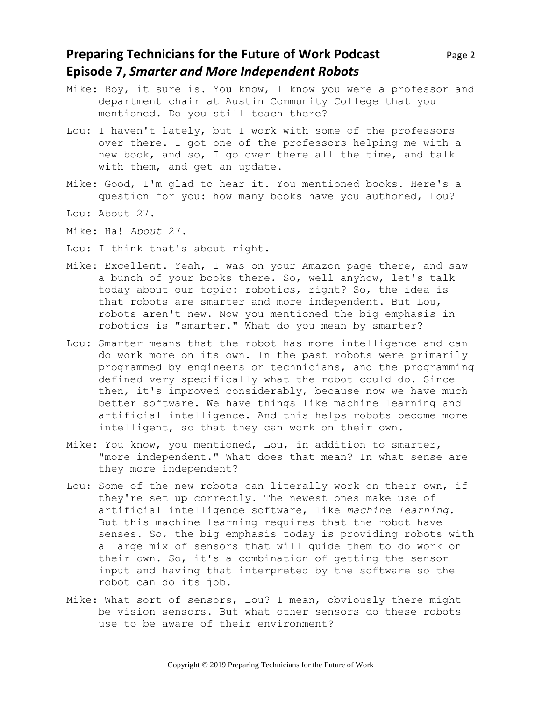#### **Preparing Technicians for the Future of Work Podcast** Page 2 **Episode 7,** *Smarter and More Independent Robots*

- Mike: Boy, it sure is. You know, I know you were a professor and department chair at Austin Community College that you mentioned. Do you still teach there?
- Lou: I haven't lately, but I work with some of the professors over there. I got one of the professors helping me with a new book, and so, I go over there all the time, and talk with them, and get an update.
- Mike: Good, I'm glad to hear it. You mentioned books. Here's a question for you: how many books have you authored, Lou?
- Lou: About 27.
- Mike: Ha! *About* 27.
- Lou: I think that's about right.
- Mike: Excellent. Yeah, I was on your Amazon page there, and saw a bunch of your books there. So, well anyhow, let's talk today about our topic: robotics, right? So, the idea is that robots are smarter and more independent. But Lou, robots aren't new. Now you mentioned the big emphasis in robotics is "smarter." What do you mean by smarter?
- Lou: Smarter means that the robot has more intelligence and can do work more on its own. In the past robots were primarily programmed by engineers or technicians, and the programming defined very specifically what the robot could do. Since then, it's improved considerably, because now we have much better software. We have things like machine learning and artificial intelligence. And this helps robots become more intelligent, so that they can work on their own.
- Mike: You know, you mentioned, Lou, in addition to smarter, "more independent." What does that mean? In what sense are they more independent?
- Lou: Some of the new robots can literally work on their own, if they're set up correctly. The newest ones make use of artificial intelligence software, like *machine learning*. But this machine learning requires that the robot have senses. So, the big emphasis today is providing robots with a large mix of sensors that will guide them to do work on their own. So, it's a combination of getting the sensor input and having that interpreted by the software so the robot can do its job.
- Mike: What sort of sensors, Lou? I mean, obviously there might be vision sensors. But what other sensors do these robots use to be aware of their environment?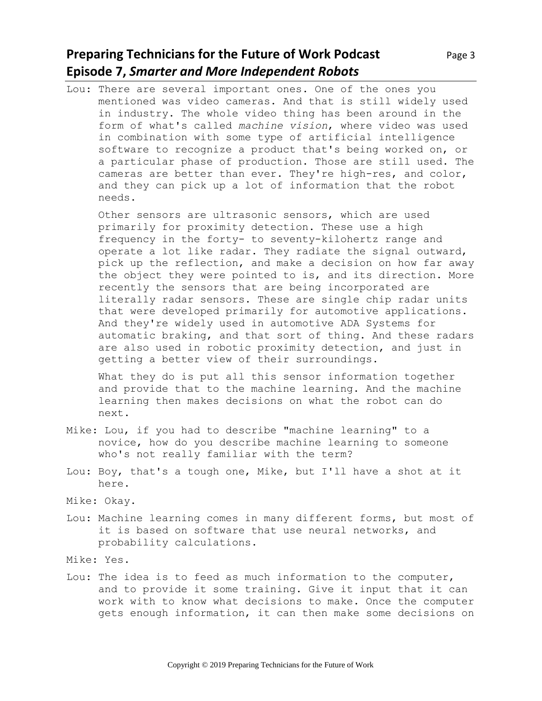# **Preparing Technicians for the Future of Work Podcast** Page 3 **Episode 7,** *Smarter and More Independent Robots*

Lou: There are several important ones. One of the ones you mentioned was video cameras. And that is still widely used in industry. The whole video thing has been around in the form of what's called *machine vision*, where video was used in combination with some type of artificial intelligence software to recognize a product that's being worked on, or a particular phase of production. Those are still used. The cameras are better than ever. They're high-res, and color, and they can pick up a lot of information that the robot needs.

Other sensors are ultrasonic sensors, which are used primarily for proximity detection. These use a high frequency in the forty- to seventy-kilohertz range and operate a lot like radar. They radiate the signal outward, pick up the reflection, and make a decision on how far away the object they were pointed to is, and its direction. More recently the sensors that are being incorporated are literally radar sensors. These are single chip radar units that were developed primarily for automotive applications. And they're widely used in automotive ADA Systems for automatic braking, and that sort of thing. And these radars are also used in robotic proximity detection, and just in getting a better view of their surroundings.

What they do is put all this sensor information together and provide that to the machine learning. And the machine learning then makes decisions on what the robot can do next.

- Mike: Lou, if you had to describe "machine learning" to a novice, how do you describe machine learning to someone who's not really familiar with the term?
- Lou: Boy, that's a tough one, Mike, but I'll have a shot at it here.
- Mike: Okay.
- Lou: Machine learning comes in many different forms, but most of it is based on software that use neural networks, and probability calculations.

Mike: Yes.

Lou: The idea is to feed as much information to the computer, and to provide it some training. Give it input that it can work with to know what decisions to make. Once the computer gets enough information, it can then make some decisions on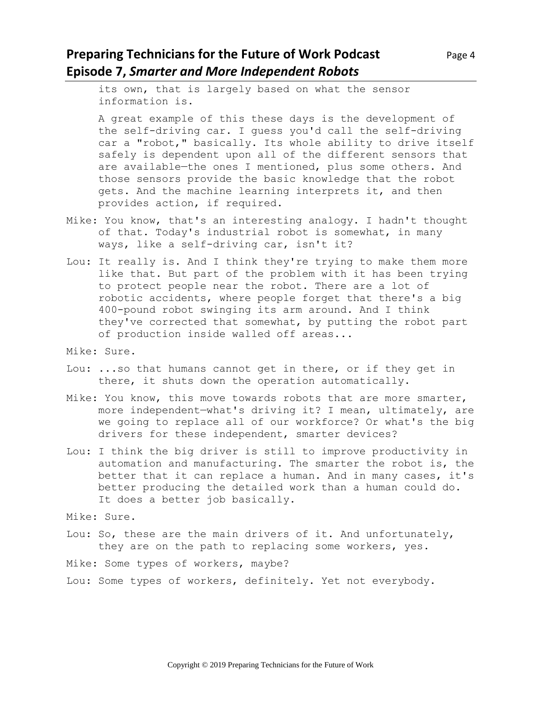### **Preparing Technicians for the Future of Work Podcast** Page 4 **Episode 7,** *Smarter and More Independent Robots*

its own, that is largely based on what the sensor information is.

A great example of this these days is the development of the self-driving car. I guess you'd call the self-driving car a "robot," basically. Its whole ability to drive itself safely is dependent upon all of the different sensors that are available—the ones I mentioned, plus some others. And those sensors provide the basic knowledge that the robot gets. And the machine learning interprets it, and then provides action, if required.

- Mike: You know, that's an interesting analogy. I hadn't thought of that. Today's industrial robot is somewhat, in many ways, like a self-driving car, isn't it?
- Lou: It really is. And I think they're trying to make them more like that. But part of the problem with it has been trying to protect people near the robot. There are a lot of robotic accidents, where people forget that there's a big 400-pound robot swinging its arm around. And I think they've corrected that somewhat, by putting the robot part of production inside walled off areas...
- Mike: Sure.
- Lou: ...so that humans cannot get in there, or if they get in there, it shuts down the operation automatically.
- Mike: You know, this move towards robots that are more smarter, more independent—what's driving it? I mean, ultimately, are we going to replace all of our workforce? Or what's the big drivers for these independent, smarter devices?
- Lou: I think the big driver is still to improve productivity in automation and manufacturing. The smarter the robot is, the better that it can replace a human. And in many cases, it's better producing the detailed work than a human could do. It does a better job basically.
- Mike: Sure.
- Lou: So, these are the main drivers of it. And unfortunately, they are on the path to replacing some workers, yes.

Mike: Some types of workers, maybe?

Lou: Some types of workers, definitely. Yet not everybody.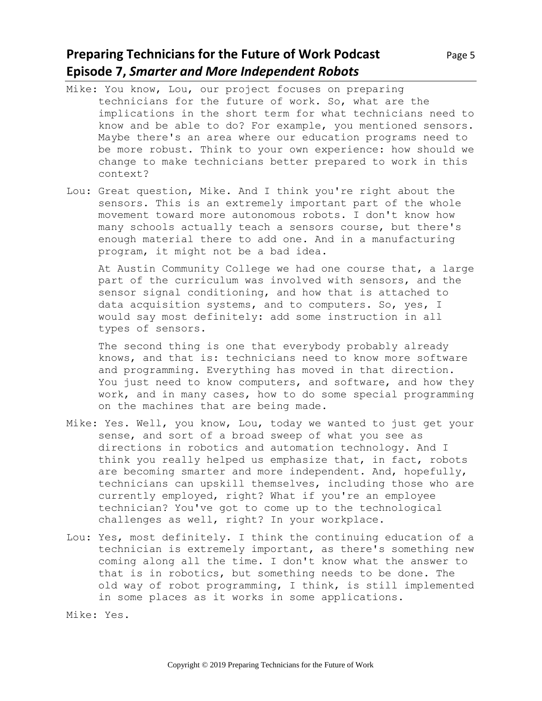# **Preparing Technicians for the Future of Work Podcast** Page 5 **Episode 7,** *Smarter and More Independent Robots*

- Mike: You know, Lou, our project focuses on preparing technicians for the future of work. So, what are the implications in the short term for what technicians need to know and be able to do? For example, you mentioned sensors. Maybe there's an area where our education programs need to be more robust. Think to your own experience: how should we change to make technicians better prepared to work in this context?
- Lou: Great question, Mike. And I think you're right about the sensors. This is an extremely important part of the whole movement toward more autonomous robots. I don't know how many schools actually teach a sensors course, but there's enough material there to add one. And in a manufacturing program, it might not be a bad idea.

At Austin Community College we had one course that, a large part of the curriculum was involved with sensors, and the sensor signal conditioning, and how that is attached to data acquisition systems, and to computers. So, yes, I would say most definitely: add some instruction in all types of sensors.

The second thing is one that everybody probably already knows, and that is: technicians need to know more software and programming. Everything has moved in that direction. You just need to know computers, and software, and how they work, and in many cases, how to do some special programming on the machines that are being made.

- Mike: Yes. Well, you know, Lou, today we wanted to just get your sense, and sort of a broad sweep of what you see as directions in robotics and automation technology. And I think you really helped us emphasize that, in fact, robots are becoming smarter and more independent. And, hopefully, technicians can upskill themselves, including those who are currently employed, right? What if you're an employee technician? You've got to come up to the technological challenges as well, right? In your workplace.
- Lou: Yes, most definitely. I think the continuing education of a technician is extremely important, as there's something new coming along all the time. I don't know what the answer to that is in robotics, but something needs to be done. The old way of robot programming, I think, is still implemented in some places as it works in some applications.

Mike: Yes.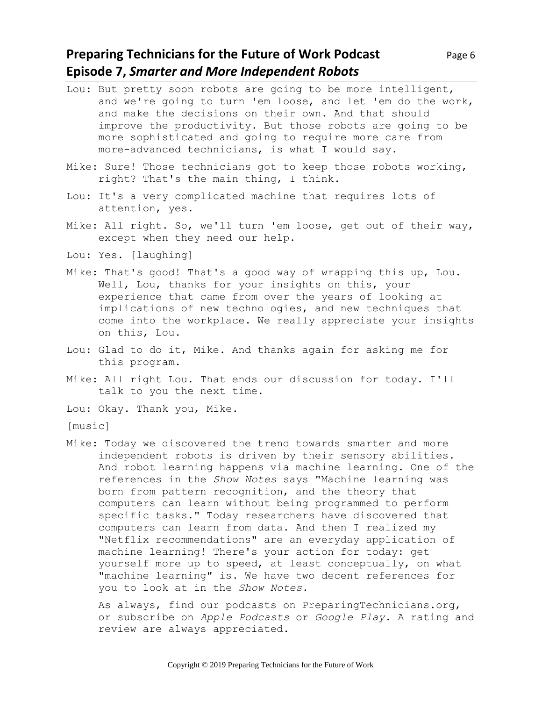### **Preparing Technicians for the Future of Work Podcast** Page 6 **Episode 7,** *Smarter and More Independent Robots*

- Lou: But pretty soon robots are going to be more intelligent, and we're going to turn 'em loose, and let 'em do the work, and make the decisions on their own. And that should improve the productivity. But those robots are going to be more sophisticated and going to require more care from more-advanced technicians, is what I would say.
- Mike: Sure! Those technicians got to keep those robots working, right? That's the main thing, I think.
- Lou: It's a very complicated machine that requires lots of attention, yes.
- Mike: All right. So, we'll turn 'em loose, get out of their way, except when they need our help.
- Lou: Yes. [laughing]
- Mike: That's good! That's a good way of wrapping this up, Lou. Well, Lou, thanks for your insights on this, your experience that came from over the years of looking at implications of new technologies, and new techniques that come into the workplace. We really appreciate your insights on this, Lou.
- Lou: Glad to do it, Mike. And thanks again for asking me for this program.
- Mike: All right Lou. That ends our discussion for today. I'll talk to you the next time.
- Lou: Okay. Thank you, Mike.
- [music]
- Mike: Today we discovered the trend towards smarter and more independent robots is driven by their sensory abilities. And robot learning happens via machine learning. One of the references in the *Show Notes* says "Machine learning was born from pattern recognition, and the theory that computers can learn without being programmed to perform specific tasks." Today researchers have discovered that computers can learn from data. And then I realized my "Netflix recommendations" are an everyday application of machine learning! There's your action for today: get yourself more up to speed, at least conceptually, on what "machine learning" is. We have two decent references for you to look at in the *Show Notes*.

As always, find our podcasts on PreparingTechnicians.org, or subscribe on *Apple Podcasts* or *Google Play.* A rating and review are always appreciated.